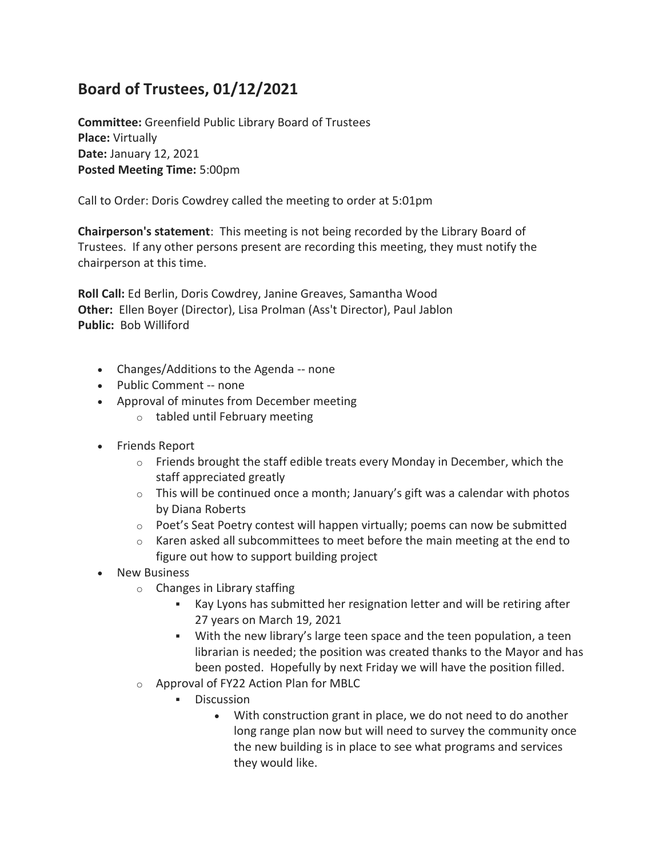## **Board of Trustees, 01/12/2021**

**Committee:** Greenfield Public Library Board of Trustees **Place:** Virtually **Date:** January 12, 2021 **Posted Meeting Time:** 5:00pm

Call to Order: Doris Cowdrey called the meeting to order at 5:01pm

**Chairperson's statement**: This meeting is not being recorded by the Library Board of Trustees. If any other persons present are recording this meeting, they must notify the chairperson at this time.

**Roll Call:** Ed Berlin, Doris Cowdrey, Janine Greaves, Samantha Wood **Other:** Ellen Boyer (Director), Lisa Prolman (Ass't Director), Paul Jablon **Public:** Bob Williford

- Changes/Additions to the Agenda -- none
- Public Comment -- none
- Approval of minutes from December meeting
	- o tabled until February meeting
- Friends Report
	- $\circ$  Friends brought the staff edible treats every Monday in December, which the staff appreciated greatly
	- $\circ$  This will be continued once a month; January's gift was a calendar with photos by Diana Roberts
	- o Poet's Seat Poetry contest will happen virtually; poems can now be submitted
	- $\circ$  Karen asked all subcommittees to meet before the main meeting at the end to figure out how to support building project
- New Business
	- o Changes in Library staffing
		- Kay Lyons has submitted her resignation letter and will be retiring after 27 years on March 19, 2021
		- With the new library's large teen space and the teen population, a teen librarian is needed; the position was created thanks to the Mayor and has been posted. Hopefully by next Friday we will have the position filled.
	- o Approval of FY22 Action Plan for MBLC
		- Discussion
			- With construction grant in place, we do not need to do another long range plan now but will need to survey the community once the new building is in place to see what programs and services they would like.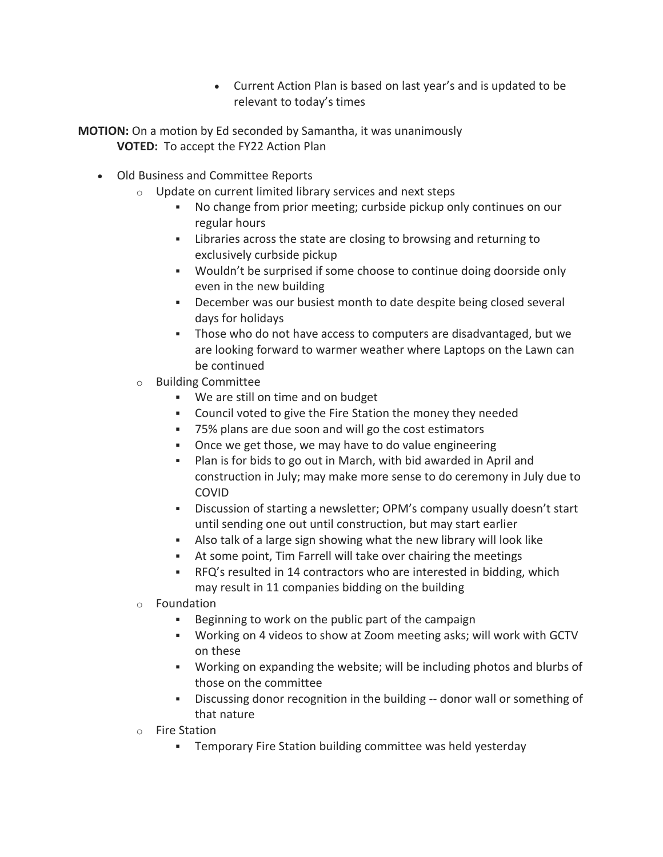- Current Action Plan is based on last year's and is updated to be relevant to today's times
- **MOTION:** On a motion by Ed seconded by Samantha, it was unanimously **VOTED:** To accept the FY22 Action Plan
	- Old Business and Committee Reports
		- o Update on current limited library services and next steps
			- No change from prior meeting; curbside pickup only continues on our regular hours
			- Libraries across the state are closing to browsing and returning to exclusively curbside pickup
			- Wouldn't be surprised if some choose to continue doing doorside only even in the new building
			- December was our busiest month to date despite being closed several days for holidays
			- Those who do not have access to computers are disadvantaged, but we are looking forward to warmer weather where Laptops on the Lawn can be continued
		- o Building Committee
			- We are still on time and on budget
			- Council voted to give the Fire Station the money they needed
			- 75% plans are due soon and will go the cost estimators
			- Once we get those, we may have to do value engineering
			- Plan is for bids to go out in March, with bid awarded in April and construction in July; may make more sense to do ceremony in July due to COVID
			- Discussion of starting a newsletter; OPM's company usually doesn't start until sending one out until construction, but may start earlier
			- Also talk of a large sign showing what the new library will look like
			- At some point, Tim Farrell will take over chairing the meetings
			- RFQ's resulted in 14 contractors who are interested in bidding, which may result in 11 companies bidding on the building
		- o Foundation
			- Beginning to work on the public part of the campaign
			- Working on 4 videos to show at Zoom meeting asks; will work with GCTV on these
			- Working on expanding the website; will be including photos and blurbs of those on the committee
			- Discussing donor recognition in the building -- donor wall or something of that nature
		- o Fire Station
			- Temporary Fire Station building committee was held yesterday